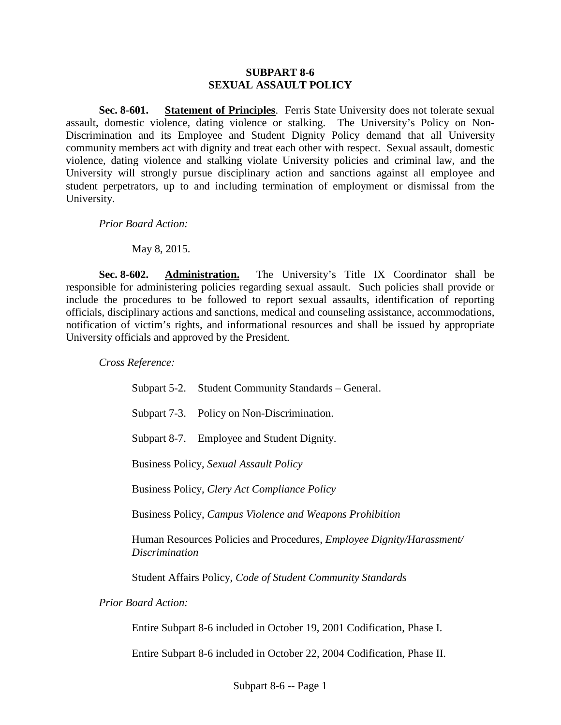## **SUBPART 8-6 SEXUAL ASSAULT POLICY**

**Sec. 8-601. Statement of Principles**. Ferris State University does not tolerate sexual assault, domestic violence, dating violence or stalking. The University's Policy on Non-Discrimination and its Employee and Student Dignity Policy demand that all University community members act with dignity and treat each other with respect. Sexual assault, domestic violence, dating violence and stalking violate University policies and criminal law, and the University will strongly pursue disciplinary action and sanctions against all employee and student perpetrators, up to and including termination of employment or dismissal from the University.

*Prior Board Action:*

May 8, 2015.

**Sec. 8-602. Administration.** The University's Title IX Coordinator shall be responsible for administering policies regarding sexual assault. Such policies shall provide or include the procedures to be followed to report sexual assaults, identification of reporting officials, disciplinary actions and sanctions, medical and counseling assistance, accommodations, notification of victim's rights, and informational resources and shall be issued by appropriate University officials and approved by the President.

*Cross Reference:*

|                            |                                                                                                       | Subpart 5-2. Student Community Standards – General.                    |
|----------------------------|-------------------------------------------------------------------------------------------------------|------------------------------------------------------------------------|
|                            |                                                                                                       | Subpart 7-3. Policy on Non-Discrimination.                             |
|                            |                                                                                                       | Subpart 8-7. Employee and Student Dignity.                             |
|                            | <b>Business Policy, Sexual Assault Policy</b><br><b>Business Policy, Clery Act Compliance Policy</b>  |                                                                        |
|                            |                                                                                                       |                                                                        |
|                            | Business Policy, Campus Violence and Weapons Prohibition                                              |                                                                        |
|                            | Human Resources Policies and Procedures, <i>Employee Dignity/Harassment/</i><br><i>Discrimination</i> |                                                                        |
|                            | Student Affairs Policy, Code of Student Community Standards                                           |                                                                        |
| <b>Prior Board Action:</b> |                                                                                                       |                                                                        |
|                            |                                                                                                       | Entire Subpart 8-6 included in October 19, 2001 Codification, Phase I. |
|                            | Entire Subpart 8-6 included in October 22, 2004 Codification, Phase II.                               |                                                                        |